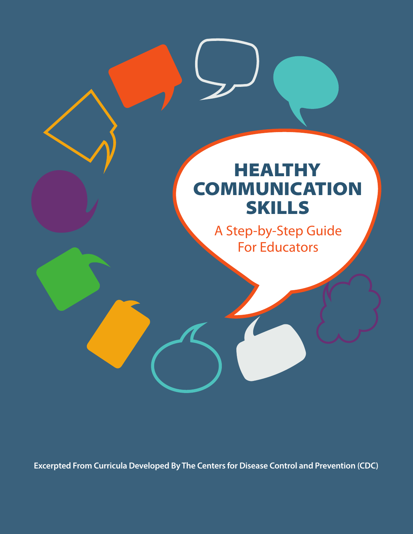# **HEALTHY COMMUNICATION** SKILLS

A Step-by-Step Guide For Educators

**Excerpted From Curricula Developed By The Centers for Disease Control and Prevention (CDC)**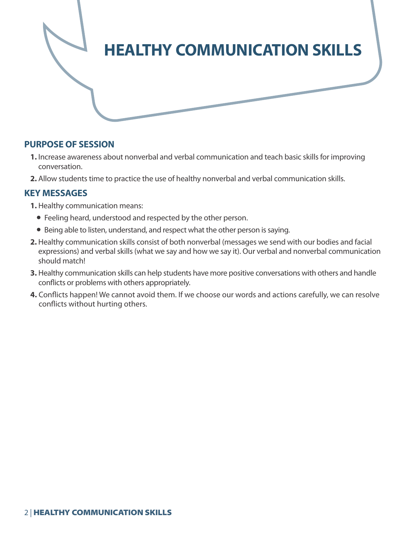

#### **PURPOSE OF SESSION**

- **1.** Increase awareness about nonverbal and verbal communication and teach basic skills for improving conversation.
- **2.** Allow students time to practice the use of healthy nonverbal and verbal communication skills.

## **KEY MESSAGES**

- **1.** Healthy communication means:
	- Feeling heard, understood and respected by the other person.
	- Being able to listen, understand, and respect what the other person is saying.
- **2.** Healthy communication skills consist of both nonverbal (messages we send with our bodies and facial expressions) and verbal skills (what we say and how we say it). Our verbal and nonverbal communication should match!
- **3.** Healthy communication skills can help students have more positive conversations with others and handle conflicts or problems with others appropriately.
- **4.** Conflicts happen! We cannot avoid them. If we choose our words and actions carefully, we can resolve conflicts without hurting others.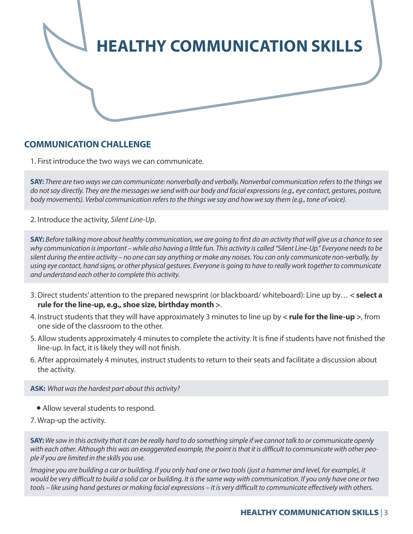

## **COMMUNICATION CHALLENGE**

1. First introduce the two ways we can communicate.

**SAY:** *There are two ways we can communicate: nonverbally and verbally. Nonverbal communication refers to the things we do not say directly. They are the messages we send with our body and facial expressions (e.g., eye contact, gestures, posture, body movements). Verbal communication refers to the things we say and how we say them (e.g., tone of voice).*

2. Introduce the activity, *Silent Line-Up*.

**SAY:** *Before talking more about healthy communication, we are going to first do an activity that will give us a chance to see why communication is important – while also having a little fun. This activity is called "Silent Line-Up." Everyone needs to be silent during the entire activity – no one can say anything or make any noises. You can only communicate non-verbally, by using eye contact, hand signs, or other physical gestures. Everyone is going to have to really work together to communicate and understand each other to complete this activity.* 

- 3. Direct students' attention to the prepared newsprint (or blackboard/ whiteboard): Line up by… **< select a rule for the line-up, e.g., shoe size, birthday month >**.
- 4. Instruct students that they will have approximately 3 minutes to line up by **< rule for the line-up >**, from one side of the classroom to the other.
- 5. Allow students approximately 4 minutes to complete the activity. It is fine if students have not finished the line-up. In fact, it is likely they will not finish.
- 6. After approximately 4 minutes, instruct students to return to their seats and facilitate a discussion about the activity.

**ASK:** *What was the hardest part about this activity?* 

- Allow several students to respond.
- 7. Wrap-up the activity.

**SAY:** *We saw in this activity that it can be really hard to do something simple if we cannot talk to or communicate openly with each other. Although this was an exaggerated example, the point is that it is difficult to communicate with other people if you are limited in the skills you use.* 

*Imagine you are building a car or building. If you only had one or two tools (just a hammer and level, for example), it would be very difficult to build a solid car or building. It is the same way with communication. If you only have one or two tools – like using hand gestures or making facial expressions – it is very difficult to communicate effectively with others.*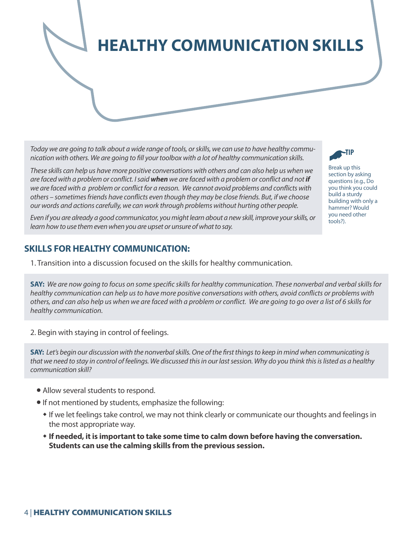**HEALTHY COMMUNICATION SKILLS**

*Today we are going to talk about a wide range of tools, or skills, we can use to have healthy communication with others. We are going to fill your toolbox with a lot of healthy communication skills.*

*These skills can help us have more positive conversations with others and can also help us when we are faced with a problem or conflict. I said when we are faced with a problem or conflict and not if we are faced with a problem or conflict for a reason. We cannot avoid problems and conflicts with others – sometimes friends have conflicts even though they may be close friends. But, if we choose our words and actions carefully, we can work through problems without hurting other people.*

*Even if you are already a good communicator, you might learn about a new skill, improve your skills, or learn how to use them even when you are upset or unsure of what to say.*

#### **SKILLS FOR HEALTHY COMMUNICATION:**

1. Transition into a discussion focused on the skills for healthy communication.

**SAY:** *We are now going to focus on some specific skills for healthy communication. These nonverbal and verbal skills for healthy communication can help us to have more positive conversations with others, avoid conflicts or problems with others, and can also help us when we are faced with a problem or conflict. We are going to go over a list of 6 skills for healthy communication.*

2. Begin with staying in control of feelings.

**SAY:** *Let's begin our discussion with the nonverbal skills. One of the first things to keep in mind when communicating is that we need to stay in control of feelings. We discussed this in our last session. Why do you think this is listed as a healthy communication skill?* 

- Allow several students to respond.
- If not mentioned by students, emphasize the following:
	- w If we let feelings take control, we may not think clearly or communicate our thoughts and feelings in the most appropriate way.
	- \* If needed, it is important to take some time to calm down before having the conversation. **Students can use the calming skills from the previous session.**



Break up this section by asking questions (e.g., Do you think you could build a sturdy building with only a hammer? Would you need other tools?).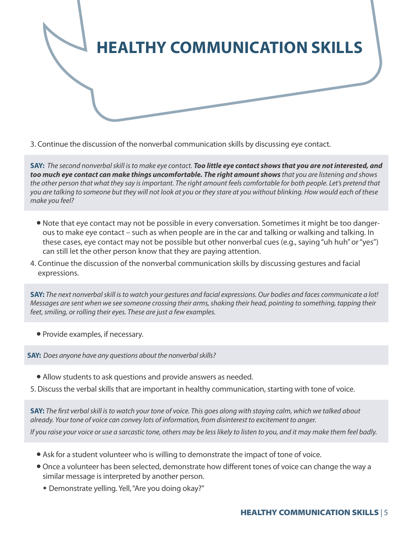

3. Continue the discussion of the nonverbal communication skills by discussing eye contact.

**SAY:** *The second nonverbal skill is to make eye contact. Too little eye contact shows that you are not interested, and too much eye contact can make things uncomfortable. The right amount shows that you are listening and shows the other person that what they say is important. The right amount feels comfortable for both people. Let's pretend that you are talking to someone but they will not look at you or they stare at you without blinking. How would each of these make you feel?* 

- Note that eye contact may not be possible in every conversation. Sometimes it might be too dangerous to make eye contact – such as when people are in the car and talking or walking and talking. In these cases, eye contact may not be possible but other nonverbal cues (e.g., saying "uh huh" or "yes") can still let the other person know that they are paying attention.
- 4. Continue the discussion of the nonverbal communication skills by discussing gestures and facial expressions.

**SAY:** *The next nonverbal skill is to watch your gestures and facial expressions. Our bodies and faces communicate a lot! Messages are sent when we see someone crossing their arms, shaking their head, pointing to something, tapping their feet, smiling, or rolling their eyes. These are just a few examples.* 

• Provide examples, if necessary.

**SAY:** *Does anyone have any questions about the nonverbal skills?* 

- Allow students to ask questions and provide answers as needed.
- 5. Discuss the verbal skills that are important in healthy communication, starting with tone of voice.

**SAY:** *The first verbal skill is to watch your tone of voice. This goes along with staying calm, which we talked about already. Your tone of voice can convey lots of information, from disinterest to excitement to anger.* 

*If you raise your voice or use a sarcastic tone, others may be less likely to listen to you, and it may make them feel badly.*

- Ask for a student volunteer who is willing to demonstrate the impact of tone of voice.
- Once a volunteer has been selected, demonstrate how different tones of voice can change the way a similar message is interpreted by another person.
	- \* Demonstrate yelling. Yell, "Are you doing okay?"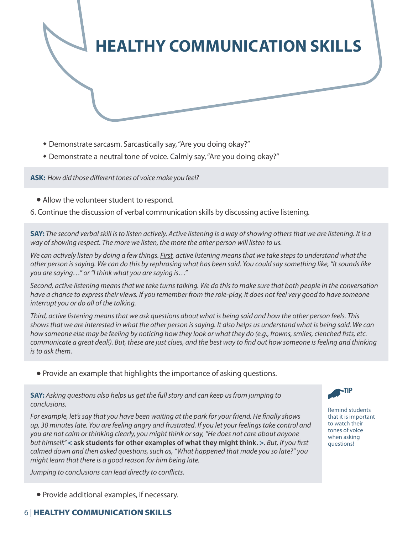

- \* Demonstrate sarcasm. Sarcastically say, "Are you doing okay?"
- \* Demonstrate a neutral tone of voice. Calmly say, "Are you doing okay?"

**ASK:** *How did those different tones of voice make you feel?*

- Allow the volunteer student to respond.
- 6. Continue the discussion of verbal communication skills by discussing active listening.

**SAY:** *The second verbal skill is to listen actively. Active listening is a way of showing others that we are listening. It is a way of showing respect. The more we listen, the more the other person will listen to us.*

*We can actively listen by doing a few things. First, active listening means that we take steps to understand what the other person is saying. We can do this by rephrasing what has been said. You could say something like, "It sounds like you are saying…" or "I think what you are saying is…"*

*Second, active listening means that we take turns talking. We do this to make sure that both people in the conversation have a chance to express their views. If you remember from the role-play, it does not feel very good to have someone interrupt you or do all of the talking.*

*Third, active listening means that we ask questions about what is being said and how the other person feels. This shows that we are interested in what the other person is saying. It also helps us understand what is being said. We can how someone else may be feeling by noticing how they look or what they do (e.g., frowns, smiles, clenched fists, etc. communicate a great deal!). But, these are just clues, and the best way to find out how someone is feeling and thinking is to ask them.*

• Provide an example that highlights the importance of asking questions.

**SAY:** *Asking questions also helps us get the full story and can keep us from jumping to conclusions.*

*For example, let's say that you have been waiting at the park for your friend. He finally shows up, 30 minutes late. You are feeling angry and frustrated. If you let your feelings take control and you are not calm or thinking clearly, you might think or say, "He does not care about anyone but himself."* **< ask students for other examples of what they might think. >***. But, if you first calmed down and then asked questions, such as, "What happened that made you so late?" you might learn that there is a good reason for him being late.* 

*Jumping to conclusions can lead directly to conflicts.* 



Remind students that it is important to watch their tones of voice when asking questions!

• Provide additional examples, if necessary.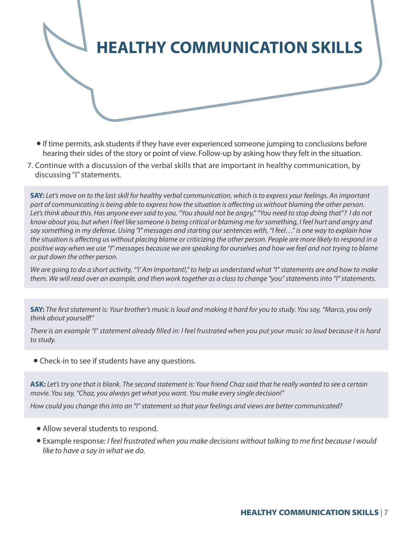

- l If time permits, ask students if they have ever experienced someone jumping to conclusions before hearing their sides of the story or point of view. Follow-up by asking how they felt in the situation.
- 7. Continue with a discussion of the verbal skills that are important in healthy communication, by discussing "I" statements.

**SAY:** *Let's move on to the last skill for healthy verbal communication, which is to express your feelings. An important*  part of communicating is being able to express how the situation is affecting us without blaming the other person. *Let's think about this. Has anyone ever said to you, "You should not be angry," "You need to stop doing that"? I do not know about you, but when I feel like someone is being critical or blaming me for something, I feel hurt and angry and say something in my defense. Using "I" messages and starting our sentences with, "I feel…" is one way to explain how the situation is affecting us without placing blame or criticizing the other person. People are more likely to respond in a positive way when we use "I" messages because we are speaking for ourselves and how we feel and not trying to blame or put down the other person.*

*We are going to do a short activity, "'I' Am Important!," to help us understand what "I" statements are and how to make them. We will read over an example, and then work together as a class to change "you" statements into "I" statements.* 

**SAY:** *The first statement is: Your brother's music is loud and making it hard for you to study. You say, "Marco, you only think about yourself!"*

*There is an example "I" statement already filled in: I feel frustrated when you put your music so loud because it is hard to study.*

• Check-in to see if students have any questions.

**ASK:** *Let's try one that is blank. The second statement is: Your friend Chaz said that he really wanted to see a certain movie. You say, "Chaz, you always get what you want. You make every single decision!"*

*How could you change this into an "I" statement so that your feelings and views are better communicated?*

- Allow several students to respond.
- l Example response: *I feel frustrated when you make decisions without talking to me first because I would like to have a say in what we do.*